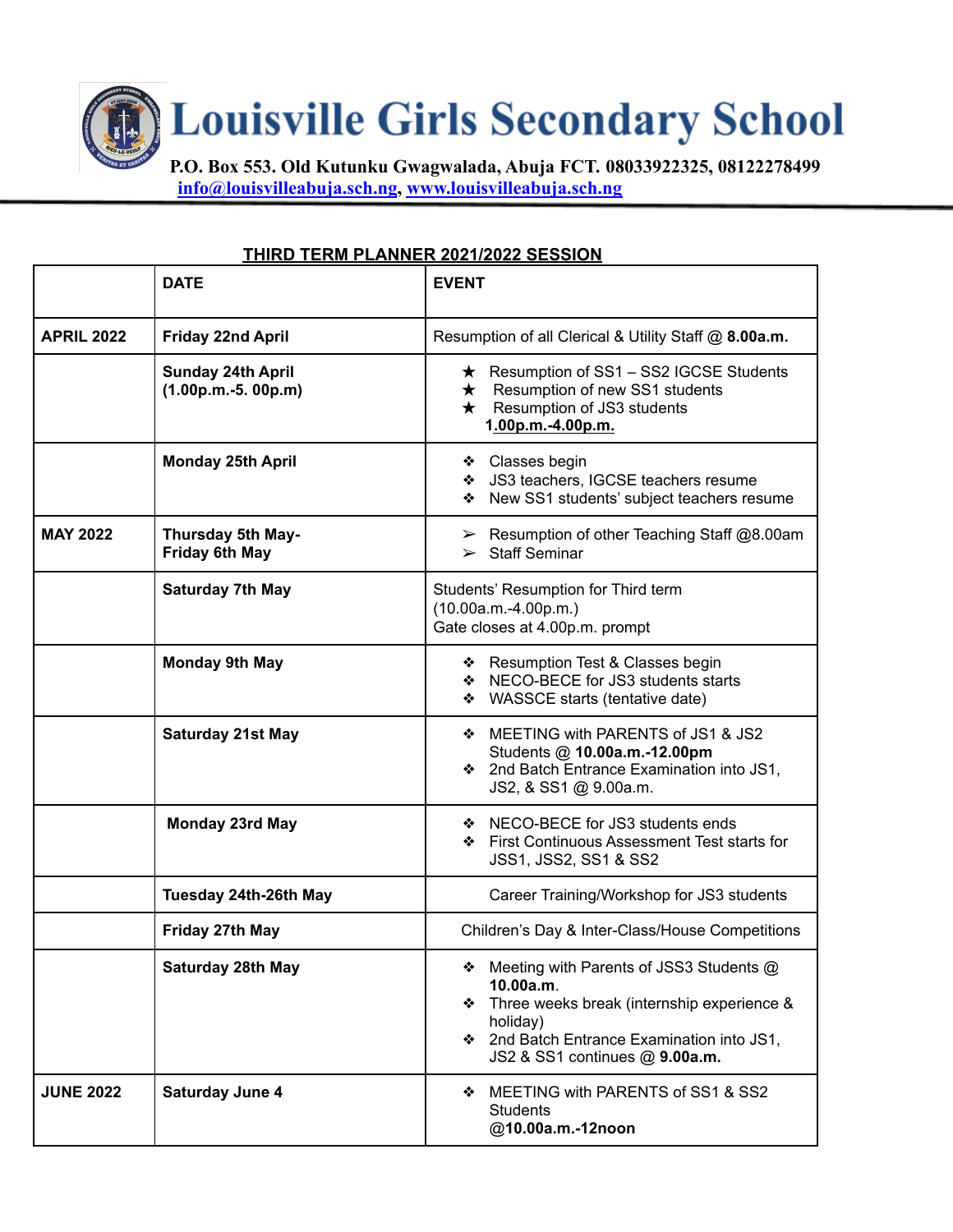**Louisville Girls Secondary School** 

**P.O. Box 553. Old Kutunku Gwagwalada, Abuja FCT. 08033922325, 08122278499 [info@louisvilleabuja.sch.ng](mailto:info@louisvilleabuja.sch.ng), [www.louisvilleabuja.sch.ng](http://www.louisvilleabuja.sch.ng)**

## **THIRD TERM PLANNER 2021/2022 SESSION**

|                   | <b>DATE</b>                                      | <b>EVENT</b>                                                                                                                                                                                        |
|-------------------|--------------------------------------------------|-----------------------------------------------------------------------------------------------------------------------------------------------------------------------------------------------------|
| <b>APRIL 2022</b> | <b>Friday 22nd April</b>                         | Resumption of all Clerical & Utility Staff @ 8.00a.m.                                                                                                                                               |
|                   | <b>Sunday 24th April</b><br>$(1.00p.m.-5.00p.m)$ | $\star$ Resumption of SS1 – SS2 IGCSE Students<br>$\star$ Resumption of new SS1 students<br>Resumption of JS3 students<br>$\star$<br>1.00p.m.-4.00p.m.                                              |
|                   | <b>Monday 25th April</b>                         | ❖ Classes begin<br>❖ JS3 teachers, IGCSE teachers resume<br>◆ New SS1 students' subject teachers resume                                                                                             |
| <b>MAY 2022</b>   | Thursday 5th May-<br><b>Friday 6th May</b>       | $\triangleright$ Resumption of other Teaching Staff @8.00am<br>$\triangleright$ Staff Seminar                                                                                                       |
|                   | <b>Saturday 7th May</b>                          | Students' Resumption for Third term<br>$(10.00a.m.-4.00p.m.)$<br>Gate closes at 4.00p.m. prompt                                                                                                     |
|                   | <b>Monday 9th May</b>                            | ❖ Resumption Test & Classes begin<br>❖ NECO-BECE for JS3 students starts<br>WASSCE starts (tentative date)                                                                                          |
|                   | <b>Saturday 21st May</b>                         | ♦ MEETING with PARENTS of JS1 & JS2<br>Students @ 10.00a.m.-12.00pm<br>❖ 2nd Batch Entrance Examination into JS1,<br>JS2, & SS1 @ 9.00a.m.                                                          |
|                   | <b>Monday 23rd May</b>                           | ❖ NECO-BECE for JS3 students ends<br>❖ First Continuous Assessment Test starts for<br>JSS1, JSS2, SS1 & SS2                                                                                         |
|                   | Tuesday 24th-26th May                            | Career Training/Workshop for JS3 students                                                                                                                                                           |
|                   | Friday 27th May                                  | Children's Day & Inter-Class/House Competitions                                                                                                                                                     |
|                   | Saturday 28th May                                | Meeting with Parents of JSS3 Students @<br>10.00a.m.<br>Three weeks break (internship experience &<br>❖<br>holiday)<br>❖ 2nd Batch Entrance Examination into JS1,<br>JS2 & SS1 continues @ 9.00a.m. |
| <b>JUNE 2022</b>  | <b>Saturday June 4</b>                           | MEETING with PARENTS of SS1 & SS2<br>❖<br><b>Students</b><br>@10.00a.m.-12noon                                                                                                                      |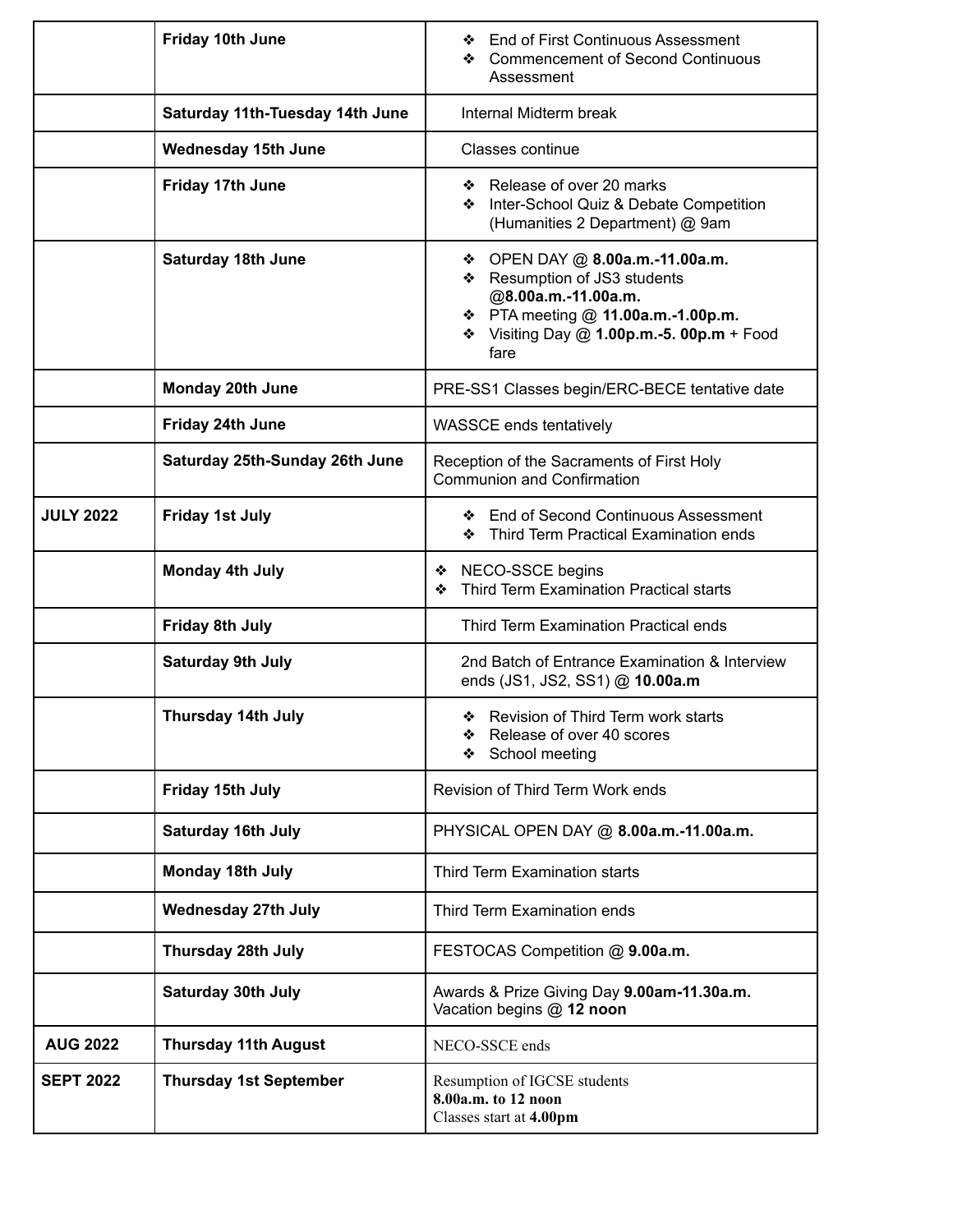|                  | Friday 10th June                | <b>End of First Continuous Assessment</b><br>❖<br><b>Commencement of Second Continuous</b><br>❖<br>Assessment                                                                           |
|------------------|---------------------------------|-----------------------------------------------------------------------------------------------------------------------------------------------------------------------------------------|
|                  | Saturday 11th-Tuesday 14th June | Internal Midterm break                                                                                                                                                                  |
|                  | <b>Wednesday 15th June</b>      | <b>Classes continue</b>                                                                                                                                                                 |
|                  | Friday 17th June                | Release of over 20 marks<br>❖<br>Inter-School Quiz & Debate Competition<br>❖<br>(Humanities 2 Department) @ 9am                                                                         |
|                  | <b>Saturday 18th June</b>       | OPEN DAY @ 8.00a.m.-11.00a.m.<br>❖<br>Resumption of JS3 students<br>❖<br>@8.00a.m.-11.00a.m.<br>❖ PTA meeting @ 11.00a.m.-1.00p.m.<br>❖ Visiting Day @ 1.00p.m.-5. 00p.m + Food<br>fare |
|                  | <b>Monday 20th June</b>         | PRE-SS1 Classes begin/ERC-BECE tentative date                                                                                                                                           |
|                  | Friday 24th June                | WASSCE ends tentatively                                                                                                                                                                 |
|                  | Saturday 25th-Sunday 26th June  | Reception of the Sacraments of First Holy<br><b>Communion and Confirmation</b>                                                                                                          |
| <b>JULY 2022</b> | <b>Friday 1st July</b>          | ❖ End of Second Continuous Assessment<br>Third Term Practical Examination ends<br>❖                                                                                                     |
|                  | <b>Monday 4th July</b>          | NECO-SSCE begins<br>❖<br>Third Term Examination Practical starts<br>❖                                                                                                                   |
|                  | <b>Friday 8th July</b>          | Third Term Examination Practical ends                                                                                                                                                   |
|                  | <b>Saturday 9th July</b>        | 2nd Batch of Entrance Examination & Interview<br>ends (JS1, JS2, SS1) @ 10.00a.m                                                                                                        |
|                  | Thursday 14th July              | ❖ Revision of Third Term work starts<br>Release of over 40 scores<br>School meeting<br>❖                                                                                                |
|                  | Friday 15th July                | Revision of Third Term Work ends                                                                                                                                                        |
|                  | <b>Saturday 16th July</b>       | PHYSICAL OPEN DAY @ 8.00a.m.-11.00a.m.                                                                                                                                                  |
|                  | <b>Monday 18th July</b>         | Third Term Examination starts                                                                                                                                                           |
|                  | <b>Wednesday 27th July</b>      | Third Term Examination ends                                                                                                                                                             |
|                  | <b>Thursday 28th July</b>       | FESTOCAS Competition @ 9.00a.m.                                                                                                                                                         |
|                  | <b>Saturday 30th July</b>       | Awards & Prize Giving Day 9.00am-11.30a.m.<br>Vacation begins @ 12 noon                                                                                                                 |
| <b>AUG 2022</b>  | <b>Thursday 11th August</b>     | NECO-SSCE ends                                                                                                                                                                          |
| <b>SEPT 2022</b> | <b>Thursday 1st September</b>   | Resumption of IGCSE students<br>8.00a.m. to 12 noon<br>Classes start at 4.00pm                                                                                                          |